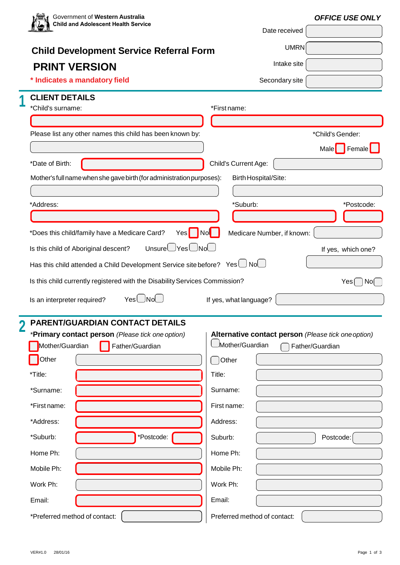| <b>Child and Adolescent Health Service</b>                                                  | <b>OFFICE USE ONLY</b>                                          |  |  |  |  |
|---------------------------------------------------------------------------------------------|-----------------------------------------------------------------|--|--|--|--|
|                                                                                             | Date received                                                   |  |  |  |  |
| <b>Child Development Service Referral Form</b>                                              | <b>UMRN</b>                                                     |  |  |  |  |
| <b>PRINT VERSION</b>                                                                        | Intake site                                                     |  |  |  |  |
| * Indicates a mandatory field                                                               | Secondary site                                                  |  |  |  |  |
| <b>CLIENT DETAILS</b>                                                                       |                                                                 |  |  |  |  |
| *Child's surname:                                                                           | *First name:                                                    |  |  |  |  |
| Please list any other names this child has been known by:                                   | *Child's Gender:                                                |  |  |  |  |
|                                                                                             | Male Female                                                     |  |  |  |  |
| *Date of Birth:                                                                             | Child's Current Age:                                            |  |  |  |  |
| Mother's full name when she gave birth (for administration purposes):                       | Birth Hospital/Site:                                            |  |  |  |  |
|                                                                                             |                                                                 |  |  |  |  |
| *Address:                                                                                   | *Suburb:<br>*Postcode:                                          |  |  |  |  |
|                                                                                             |                                                                 |  |  |  |  |
| *Does this child/family have a Medicare Card?<br>$Yes$                                      | Medicare Number, if known:<br>  Nol                             |  |  |  |  |
| $Unsure\bigcup Yes\bigcup No\bigcup$<br>Is this child of Aboriginal descent?                | If yes, which one?                                              |  |  |  |  |
|                                                                                             |                                                                 |  |  |  |  |
| Has this child attended a Child Development Service site before? Yes $\bigcup$ No $\bigcup$ |                                                                 |  |  |  |  |
|                                                                                             |                                                                 |  |  |  |  |
| Is this child currently registered with the Disability Services Commission?                 | Yes                                                             |  |  |  |  |
| Yes∪Nol<br>Is an interpreter required?                                                      | If yes, what language?                                          |  |  |  |  |
|                                                                                             | No[                                                             |  |  |  |  |
| <b>PARENT/GUARDIAN CONTACT DETAILS</b>                                                      |                                                                 |  |  |  |  |
| *Primary contact person (Please tick one option)<br>Mother/Guardian<br>Father/Guardian      | Mother/Guardian<br>Father/Guardian                              |  |  |  |  |
| Other                                                                                       | Other                                                           |  |  |  |  |
| *Title:                                                                                     | Title:                                                          |  |  |  |  |
|                                                                                             |                                                                 |  |  |  |  |
| *Surname:                                                                                   | Surname:                                                        |  |  |  |  |
| *First name:                                                                                | First name:                                                     |  |  |  |  |
| *Address:                                                                                   | Address:                                                        |  |  |  |  |
| *Postcode:<br>*Suburb:                                                                      | Suburb:<br>Postcode:                                            |  |  |  |  |
| Home Ph:                                                                                    | Home Ph:                                                        |  |  |  |  |
| Mobile Ph:                                                                                  | Mobile Ph:                                                      |  |  |  |  |
| Work Ph:                                                                                    | Alternative contact person (Please tick one option)<br>Work Ph: |  |  |  |  |
| Email:                                                                                      | Email:                                                          |  |  |  |  |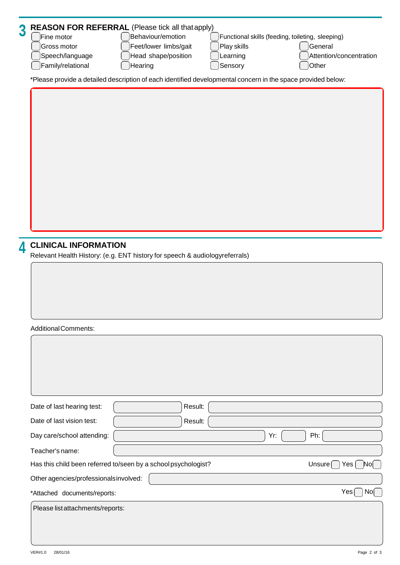| $\overline{3}$ | <b>REASON FOR REFERRAL (Please tick all that apply)</b><br>Fine motor<br>Gross motor<br>Speech/language<br>Family/relational | Behaviour/emotion<br>Feet/lower limbs/gait<br>Head shape/position<br>Hearing | Play skills<br>Learning<br>Sensory | Functional skills (feeding, toileting, sleeping)<br>General<br>Other | Attention/concentration |
|----------------|------------------------------------------------------------------------------------------------------------------------------|------------------------------------------------------------------------------|------------------------------------|----------------------------------------------------------------------|-------------------------|
|                | *Please provide a detailed description of each identified developmental concern in the space provided below:                 |                                                                              |                                    |                                                                      |                         |
|                |                                                                                                                              |                                                                              |                                    |                                                                      |                         |
|                | <b>CLINICAL INFORMATION</b>                                                                                                  |                                                                              |                                    |                                                                      |                         |
| 4              | Relevant Health History: (e.g. ENT history for speech & audiologyreferrals)                                                  |                                                                              |                                    |                                                                      |                         |
|                |                                                                                                                              |                                                                              |                                    |                                                                      |                         |
|                | <b>Additional Comments:</b>                                                                                                  |                                                                              |                                    |                                                                      |                         |
|                |                                                                                                                              |                                                                              |                                    |                                                                      |                         |
|                | Date of last hearing test:                                                                                                   | Result:                                                                      |                                    |                                                                      |                         |
|                | Date of last vision test:                                                                                                    | Result:                                                                      |                                    |                                                                      |                         |
|                | Day care/school attending:                                                                                                   |                                                                              |                                    | Ph:<br>Yr:                                                           |                         |
|                | Teacher's name:                                                                                                              |                                                                              |                                    |                                                                      |                         |
|                | Has this child been referred to/seen by a school psychologist?                                                               |                                                                              |                                    | Unsure $\Box$                                                        | $Yes[$ $No[$            |
|                | Other agencies/professionalsinvolved:                                                                                        |                                                                              |                                    |                                                                      |                         |
|                | *Attached documents/reports:                                                                                                 |                                                                              |                                    |                                                                      | Yes [<br>No[            |
|                | Please list attachments/reports:                                                                                             |                                                                              |                                    |                                                                      |                         |